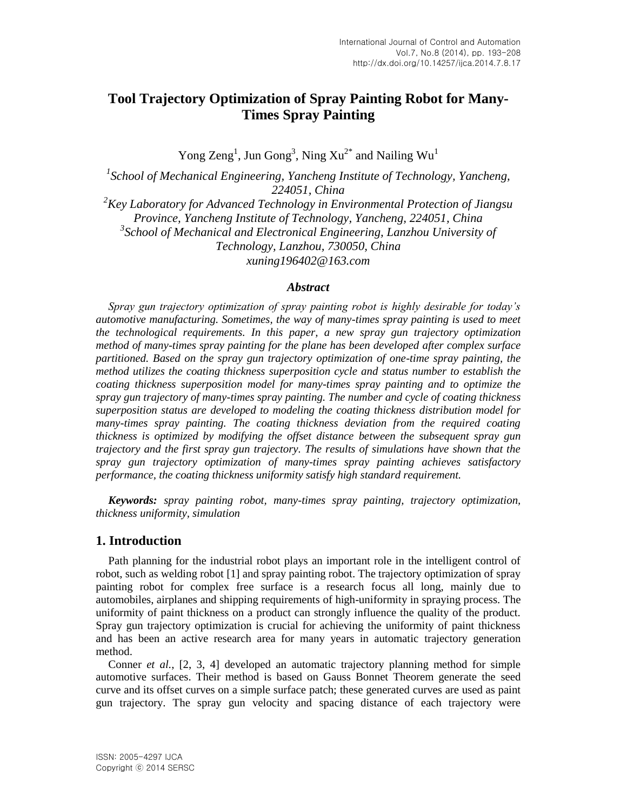# **Tool Trajectory Optimization of Spray Painting Robot for Many-Times Spray Painting**

Yong Zeng<sup>1</sup>, Jun Gong<sup>3</sup>, Ning  $Xu^{2^*}$  and Nailing Wu<sup>1</sup>

<sup>1</sup> School of Mechanical Engineering, Yancheng Institute of Technology, Yancheng, *224051, China*

*<sup>2</sup>Key Laboratory for Advanced Technology in Environmental Protection of Jiangsu Province, Yancheng Institute of Technology, Yancheng, 224051, China* <sup>3</sup> School of Mechanical and Electronical Engineering, Lanzhou University of *Technology, Lanzhou, 730050, China [xuning196402@163.com](mailto:xuning196402@163.com)*

### *Abstract*

*Spray gun trajectory optimization of spray painting robot is highly desirable for today's automotive manufacturing. Sometimes, the way of many-times spray painting is used to meet the technological requirements. In this paper, a new spray gun trajectory optimization method of many-times spray painting for the plane has been developed after complex surface partitioned. Based on the spray gun trajectory optimization of one-time spray painting, the method utilizes the coating thickness superposition cycle and status number to establish the coating thickness superposition model for many-times spray painting and to optimize the spray gun trajectory of many-times spray painting. The number and cycle of coating thickness superposition status are developed to modeling the coating thickness distribution model for many-times spray painting. The coating thickness deviation from the required coating thickness is optimized by modifying the offset distance between the subsequent spray gun trajectory and the first spray gun trajectory. The results of simulations have shown that the spray gun trajectory optimization of many-times spray painting achieves satisfactory performance, the coating thickness uniformity satisfy high standard requirement.*

*Keywords: spray painting robot, many-times spray painting, trajectory optimization, thickness uniformity, simulation*

# **1. Introduction**

Path planning for the industrial robot plays an important role in the intelligent control of robot, such as welding robot [1] and spray painting robot. The trajectory optimization of spray painting robot for complex free surface is a research focus all long, mainly due to automobiles, airplanes and shipping requirements of high-uniformity in spraying process. The uniformity of paint thickness on a product can strongly influence the quality of the product. Spray gun trajectory optimization is crucial for achieving the uniformity of paint thickness and has been an active research area for many years in automatic trajectory generation method.

Conner *et al.*, [2, 3, 4] developed an automatic trajectory planning method for simple automotive surfaces. Their method is based on Gauss Bonnet Theorem generate the seed curve and its offset curves on a simple surface patch; these generated curves are used as paint gun trajectory. The spray gun velocity and spacing distance of each trajectory were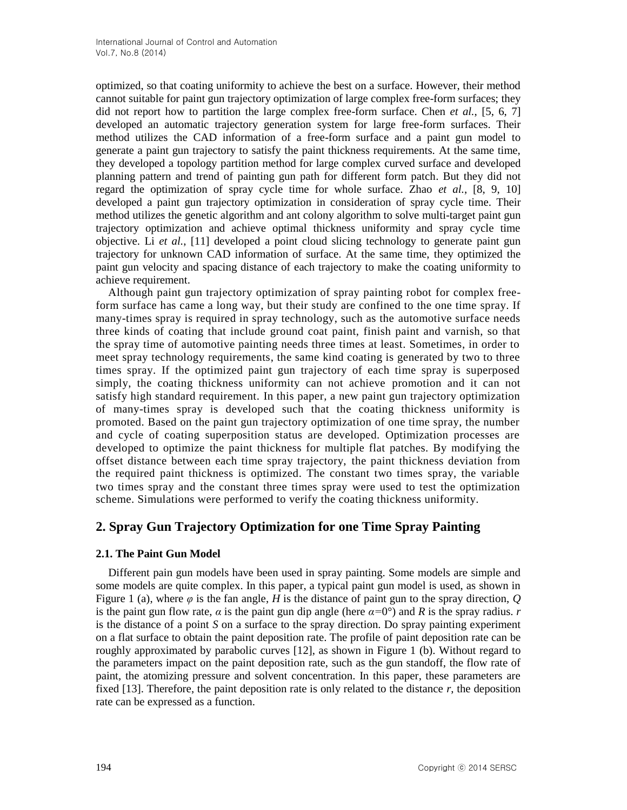optimized, so that coating uniformity to achieve the best on a surface. However, their method cannot suitable for paint gun trajectory optimization of large complex free-form surfaces; they did not report how to partition the large complex free-form surface. Chen *et al.*, [5, 6, 7] developed an automatic trajectory generation system for large free-form surfaces. Their method utilizes the CAD information of a free-form surface and a paint gun model to generate a paint gun trajectory to satisfy the paint thickness requirements. At the same time, they developed a topology partition method for large complex curved surface and developed planning pattern and trend of painting gun path for different form patch. But they did not regard the optimization of spray cycle time for whole surface. Zhao *et al.*, [8, 9, 10] developed a paint gun trajectory optimization in consideration of spray cycle time. Their method utilizes the genetic algorithm and ant colony algorithm to solve multi-target paint gun trajectory optimization and achieve optimal thickness uniformity and spray cycle time objective. Li *et al.*, [11] developed a point cloud slicing technology to generate paint gun trajectory for unknown CAD information of surface. At the same time, they optimized the paint gun velocity and spacing distance of each trajectory to make the coating uniformity to achieve requirement.

Although paint gun trajectory optimization of spray painting robot for complex freeform surface has came a long way, but their study are confined to the one time spray. If many-times spray is required in spray technology, such as the automotive surface needs three kinds of coating that include ground coat paint, finish paint and varnish, so that the spray time of automotive painting needs three times at least. Sometimes, in order to meet spray technology requirements, the same kind coating is generated by two to three times spray. If the optimized paint gun trajectory of each time spray is superposed simply, the coating thickness uniformity can not achieve promotion and it can not satisfy high standard requirement. In this paper, a new paint gun trajectory optimization of many-times spray is developed such that the coating thickness uniformity is promoted. Based on the paint gun trajectory optimization of one time spray, the number and cycle of coating superposition status are developed. Optimization processes are developed to optimize the paint thickness for multiple flat patches. By modifying the offset distance between each time spray trajectory, the paint thickness deviation from the required paint thickness is optimized. The constant two times spray, the variable two times spray and the constant three times spray were used to test the optimization scheme. Simulations were performed to verify the coating thickness uniformity.

# **2. Spray Gun Trajectory Optimization for one Time Spray Painting**

# **2.1. The Paint Gun Model**

Different pain gun models have been used in spray painting. Some models are simple and some models are quite complex. In this paper, a typical paint gun model is used, as shown in Figure 1 (a), where *φ* is the fan angle, *H* is the distance of paint gun to the spray direction, *Q* is the paint gun flow rate, *α* is the paint gun dip angle (here *α=*0°) and *R* is the spray radius. *r* is the distance of a point *S* on a surface to the spray direction. Do spray painting experiment on a flat surface to obtain the paint deposition rate. The profile of paint deposition rate can be roughly approximated by parabolic curves [12], as shown in Figure 1 (b). Without regard to the parameters impact on the paint deposition rate, such as the gun standoff, the flow rate of paint, the atomizing pressure and solvent concentration. In this paper, these parameters are fixed [13]. Therefore, the paint deposition rate is only related to the distance *r*, the deposition rate can be expressed as a function.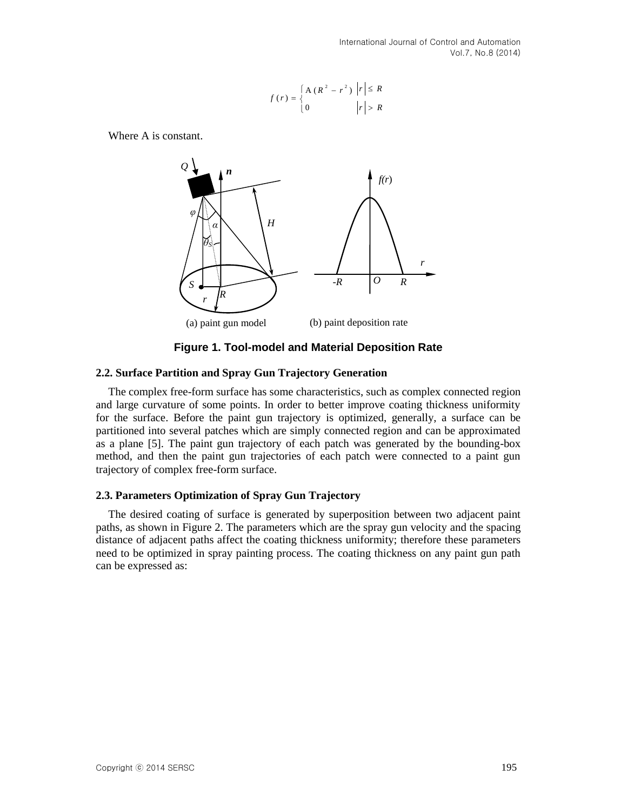$$
f(r) = \begin{cases} A (R^{2} - r^{2}) & |r| \le R \\ 0 & |r| > R \end{cases}
$$

Where A is constant.



**Figure 1. Tool-model and Material Deposition Rate**

#### **2.2. Surface Partition and Spray Gun Trajectory Generation**

The complex free-form surface has some characteristics, such as complex connected region and large curvature of some points. In order to better improve coating thickness uniformity for the surface. Before the paint gun trajectory is optimized, generally, a surface can be partitioned into several patches which are simply connected region and can be approximated as a plane [5]. The paint gun trajectory of each patch was generated by the bounding-box method, and then the paint gun trajectories of each patch were connected to a paint gun trajectory of complex free-form surface.

### **2.3. Parameters Optimization of Spray Gun Trajectory**

The desired coating of surface is generated by superposition between two adjacent paint paths, as shown in Figure 2. The parameters which are the spray gun velocity and the spacing distance of adjacent paths affect the coating thickness uniformity; therefore these parameters need to be optimized in spray painting process. The coating thickness on any paint gun path can be expressed as: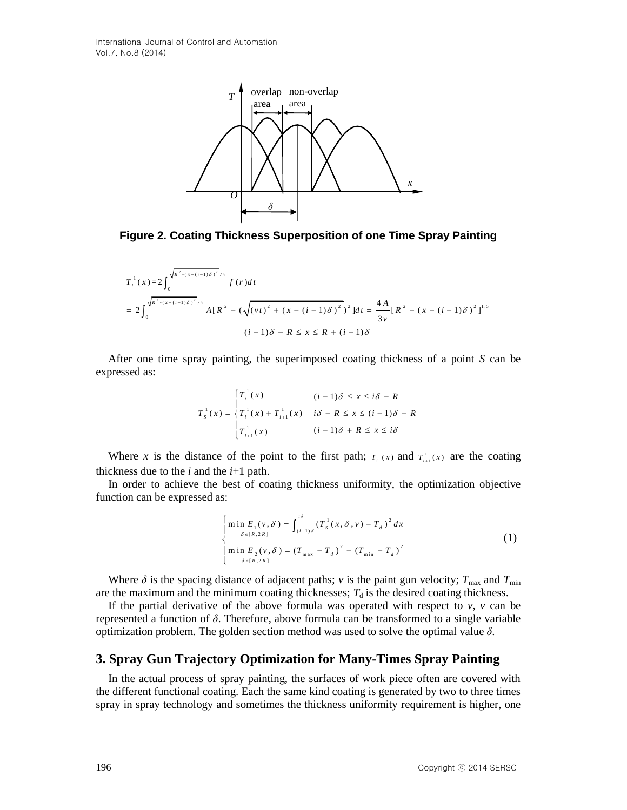

**Figure 2. Coating Thickness Superposition of one Time Spray Painting**

$$
T_{i}^{1}(x) = 2 \int_{0}^{\sqrt{R^{2} \cdot (x - (i-1)\delta)^{2}}/v} f(r) dt
$$
  
= 
$$
2 \int_{0}^{\sqrt{R^{2} \cdot (x - (i-1)\delta)^{2}}/v} A[R^{2} - (\sqrt{(vt)^{2} + (x - (i-1)\delta)^{2}})^{2}] dt = \frac{4A}{3v} [R^{2} - (x - (i-1)\delta)^{2}]^{1.5}
$$
  
(*i* - 1) $\delta - R \le x \le R + (i-1)\delta$ 

After one time spray painting, the superimposed coating thickness of a point *S* can be expressed as:

$$
T_s^{\perp}(x) = \begin{cases} T_i^{\perp}(x) & (i-1)\delta \le x \le i\delta - R \\ T_s^{\perp}(x) + T_{i+1}^{\perp}(x) & i\delta - R \le x \le (i-1)\delta + R \\ T_{i+1}^{\perp}(x) & (i-1)\delta + R \le x \le i\delta \end{cases}
$$

Where *x* is the distance of the point to the first path;  $T_i(x)$  and  $T_{i+1}(x)$  are the coating thickness due to the  $i$  and the  $i+1$  path.

In order to achieve the best of coating thickness uniformity, the optimization objective function can be expressed as:

$$
\begin{cases}\n\min E_{1}(v, \delta) = \int_{(i-1)\delta}^{i\delta} (T_{s}^{1}(x, \delta, v) - T_{d})^{2} dx \\
\downarrow \frac{\delta \in [R, 2R]}{\delta} \\
\min E_{2}(v, \delta) = (T_{\max} - T_{d})^{2} + (T_{\min} - T_{d})^{2}\n\end{cases}
$$
\n(1)

Where  $\delta$  is the spacing distance of adjacent paths; *v* is the paint gun velocity;  $T_{\text{max}}$  and  $T_{\text{min}}$ are the maximum and the minimum coating thicknesses;  $T<sub>d</sub>$  is the desired coating thickness.

If the partial derivative of the above formula was operated with respect to  $v$ ,  $v$  can be represented a function of *δ*. Therefore, above formula can be transformed to a single variable optimization problem. The golden section method was used to solve the optimal value  $\delta$ .

# **3. Spray Gun Trajectory Optimization for Many-Times Spray Painting**

In the actual process of spray painting, the surfaces of work piece often are covered with the different functional coating. Each the same kind coating is generated by two to three times spray in spray technology and sometimes the thickness uniformity requirement is higher, one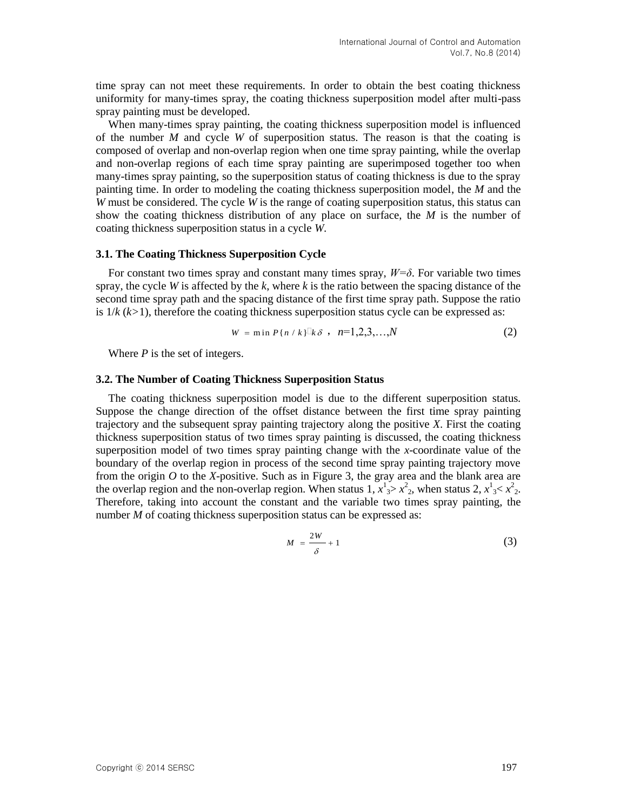time spray can not meet these requirements. In order to obtain the best coating thickness uniformity for many-times spray, the coating thickness superposition model after multi-pass spray painting must be developed.

When many-times spray painting, the coating thickness superposition model is influenced of the number *M* and cycle *W* of superposition status. The reason is that the coating is composed of overlap and non-overlap region when one time spray painting, while the overlap and non-overlap regions of each time spray painting are superimposed together too when many-times spray painting, so the superposition status of coating thickness is due to the spray painting time. In order to modeling the coating thickness superposition model, the *M* and the *W* must be considered. The cycle *W* is the range of coating superposition status, this status can show the coating thickness distribution of any place on surface, the *M* is the number of coating thickness superposition status in a cycle *W*.

#### **3.1. The Coating Thickness Superposition Cycle**

For constant two times spray and constant many times spray, *W=δ*. For variable two times spray, the cycle *W* is affected by the *k*, where *k* is the ratio between the spacing distance of the second time spray path and the spacing distance of the first time spray path. Suppose the ratio is  $1/k$   $(k>1)$ , therefore the coating thickness superposition status cycle can be expressed as:

$$
W = \min P\{n / k\}^{\Box} k \delta \quad n = 1, 2, 3, ..., N \tag{2}
$$

Where *P* is the set of integers.

#### **3.2. The Number of Coating Thickness Superposition Status**

The coating thickness superposition model is due to the different superposition status. Suppose the change direction of the offset distance between the first time spray painting trajectory and the subsequent spray painting trajectory along the positive *X*. First the coating thickness superposition status of two times spray painting is discussed, the coating thickness superposition model of two times spray painting change with the *x*-coordinate value of the boundary of the overlap region in process of the second time spray painting trajectory move from the origin *O* to the *X*-positive. Such as in Figure 3, the gray area and the blank area are the overlap region and the non-overlap region. When status 1,  $x^1$   $\Rightarrow$   $x^2$ <sub>2</sub>, when status 2,  $x^1$   $\le x^2$ <sub>2</sub>. Therefore, taking into account the constant and the variable two times spray painting, the number *M* of coating thickness superposition status can be expressed as:

$$
M = \frac{2W}{\delta} + 1\tag{3}
$$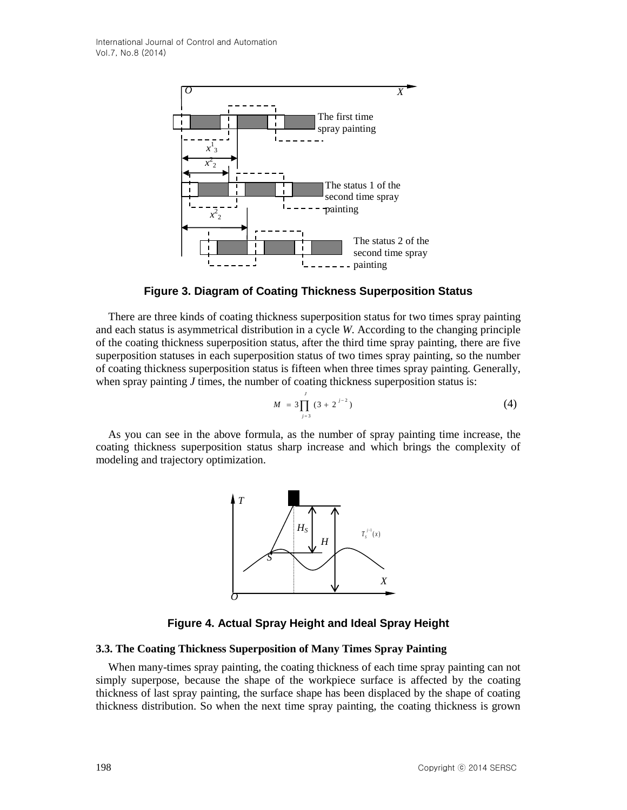

**Figure 3. Diagram of Coating Thickness Superposition Status**

There are three kinds of coating thickness superposition status for two times spray painting and each status is asymmetrical distribution in a cycle *W*. According to the changing principle of the coating thickness superposition status, after the third time spray painting, there are five superposition statuses in each superposition status of two times spray painting, so the number of coating thickness superposition status is fifteen when three times spray painting. Generally, when spray painting *J* times, the number of coating thickness superposition status is:

$$
M = 3\prod_{j=3}^{j} (3 + 2^{j-2})
$$
 (4)

As you can see in the above formula, as the number of spray painting time increase, the coating thickness superposition status sharp increase and which brings the complexity of modeling and trajectory optimization.



**Figure 4. Actual Spray Height and Ideal Spray Height**

### **3.3. The Coating Thickness Superposition of Many Times Spray Painting**

When many-times spray painting, the coating thickness of each time spray painting can not simply superpose, because the shape of the workpiece surface is affected by the coating thickness of last spray painting, the surface shape has been displaced by the shape of coating thickness distribution. So when the next time spray painting, the coating thickness is grown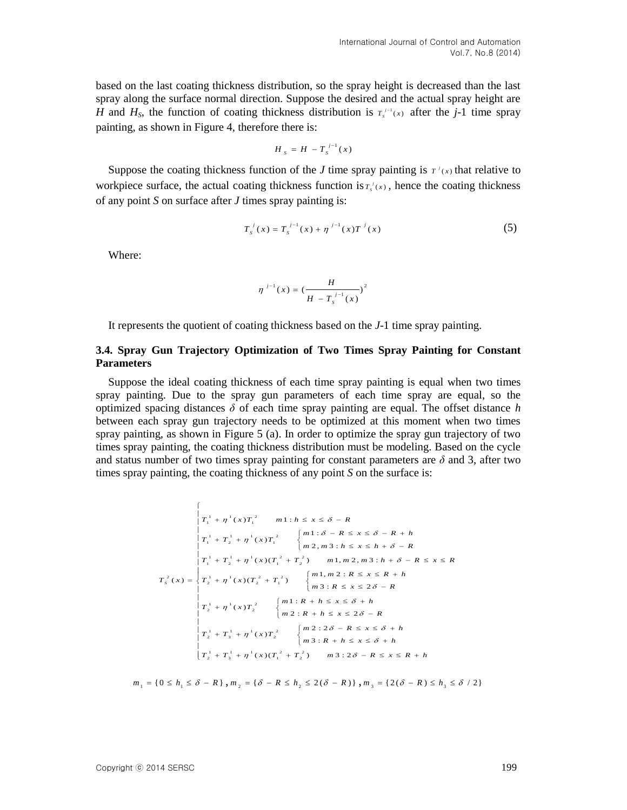based on the last coating thickness distribution, so the spray height is decreased than the last spray along the surface normal direction. Suppose the desired and the actual spray height are *H* and  $H_s$ , the function of coating thickness distribution is  $T_s^{j-1}(x)$  after the *j*-1 time spray painting, as shown in Figure 4, therefore there is:

$$
H_s = H - T_s^{j-1}(x)
$$

Suppose the coating thickness function of the *J* time spray painting is  $T^i(x)$  that relative to workpiece surface, the actual coating thickness function is  $T_s(x)$ , hence the coating thickness of any point *S* on surface after *J* times spray painting is:

$$
T_s^{\ j}(x) = T_s^{\ j-1}(x) + \eta^{\ j-1}(x)T^{\ j}(x) \tag{5}
$$

Where:

$$
\eta^{j-1}(x) = \left(\frac{H}{H - T_s^{j-1}(x)}\right)^2
$$

It represents the quotient of coating thickness based on the *J*-1 time spray painting.

### **3.4. Spray Gun Trajectory Optimization of Two Times Spray Painting for Constant Parameters**

Suppose the ideal coating thickness of each time spray painting is equal when two times spray painting. Due to the spray gun parameters of each time spray are equal, so the optimized spacing distances  $\delta$  of each time spray painting are equal. The offset distance *h* between each spray gun trajectory needs to be optimized at this moment when two times spray painting, as shown in Figure 5 (a). In order to optimize the spray gun trajectory of two times spray painting, the coating thickness distribution must be modeling. Based on the cycle and status number of two times spray painting for constant parameters are  $\delta$  and 3, after two times spray painting, the coating thickness of any point *S* on the surface is:

$$
T_{1}^{1} + \eta^{1}(x)T_{1}^{2} \qquad m1: h \leq x \leq \delta - R
$$
\n
$$
T_{1}^{1} + T_{2}^{1} + \eta^{1}(x)T_{1}^{2} \qquad \begin{cases} m1: \delta - R \leq x \leq \delta - R + h \\ m2, m3: h \leq x \leq h + \delta - R \end{cases}
$$
\n
$$
T_{s}^{2}(x) = \begin{cases} T_{1}^{1} + T_{2}^{1} + \eta^{1}(x)(T_{1}^{2} + T_{2}^{2}) & m1, m2, m3: h + \delta - R \leq x \leq R \\ T_{2}^{1} + T_{2}^{1} + \eta^{1}(x)(T_{2}^{2} + T_{1}^{2}) & \begin{cases} m1, m2: R \leq x \leq R + h \\ m3: R \leq x \leq 2\delta - R \end{cases} \\ T_{2}^{1} + \eta^{1}(x)T_{2}^{2} \qquad \begin{cases} m1: R + h \leq x \leq \delta + h \\ m2: R + h \leq x \leq 2\delta - R \end{cases} \\ T_{1}^{1} + T_{3}^{1} + \eta^{1}(x)T_{2}^{2} \qquad \begin{cases} m2: 2\delta - R \leq x \leq \delta + h \\ m3: R + h \leq x \leq \delta + h \\ m3: R + h \leq x \leq \delta + h \end{cases} \\ T_{2}^{1} + T_{3}^{1} + \eta^{1}(x)(T_{1}^{2} + T_{2}^{2}) & m3: 2\delta - R \leq x \leq R + h \end{cases}
$$

$$
m_1 = \{0 \le h_1 \le \delta - R\}, m_2 = \{\delta - R \le h_2 \le 2(\delta - R)\}, m_3 = \{2(\delta - R) \le h_3 \le \delta / 2\}
$$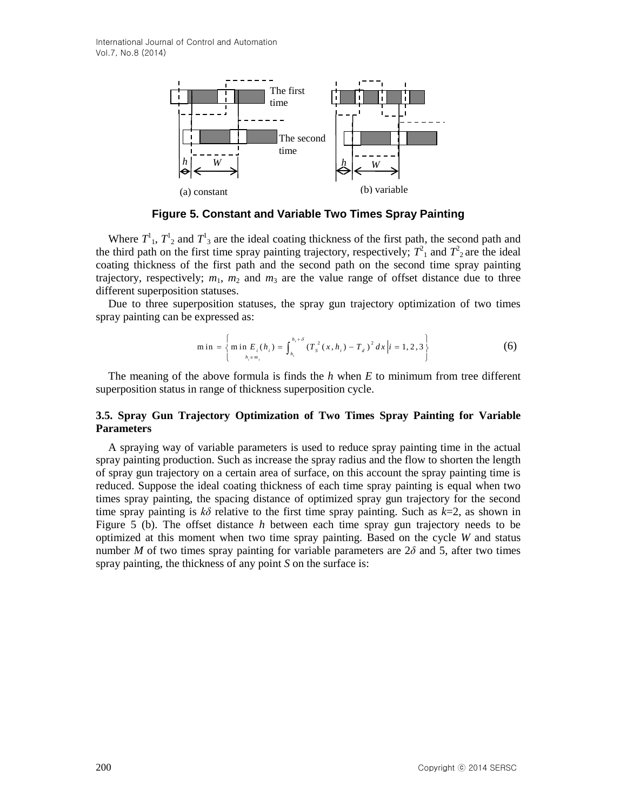

**Figure 5. Constant and Variable Two Times Spray Painting**

Where  $T^1$ ,  $T^1$ <sub>2</sub> and  $T^1$ <sub>3</sub> are the ideal coating thickness of the first path, the second path and the third path on the first time spray painting trajectory, respectively;  $T^2$ <sub>1</sub> and  $T^2$ <sub>2</sub> are the ideal coating thickness of the first path and the second path on the second time spray painting trajectory, respectively;  $m_1$ ,  $m_2$  and  $m_3$  are the value range of offset distance due to three different superposition statuses.

Due to three superposition statuses, the spray gun trajectory optimization of two times spray painting can be expressed as:

min = 
$$
\left\{\min_{h_i \in m_i} E_i(h_i) = \int_{h_i}^{h_i + \delta} (T_s^2(x, h_i) - T_d)^2 dx \middle| i = 1, 2, 3 \right\}
$$
 (6)

The meaning of the above formula is finds the *h* when *E* to minimum from tree different superposition status in range of thickness superposition cycle.

### **3.5. Spray Gun Trajectory Optimization of Two Times Spray Painting for Variable Parameters**

A spraying way of variable parameters is used to reduce spray painting time in the actual spray painting production. Such as increase the spray radius and the flow to shorten the length of spray gun trajectory on a certain area of surface, on this account the spray painting time is reduced. Suppose the ideal coating thickness of each time spray painting is equal when two times spray painting, the spacing distance of optimized spray gun trajectory for the second time spray painting is *kδ* relative to the first time spray painting. Such as *k*=2, as shown in Figure 5 (b). The offset distance *h* between each time spray gun trajectory needs to be optimized at this moment when two time spray painting. Based on the cycle *W* and status number *M* of two times spray painting for variable parameters are  $2\delta$  and 5, after two times spray painting, the thickness of any point *S* on the surface is: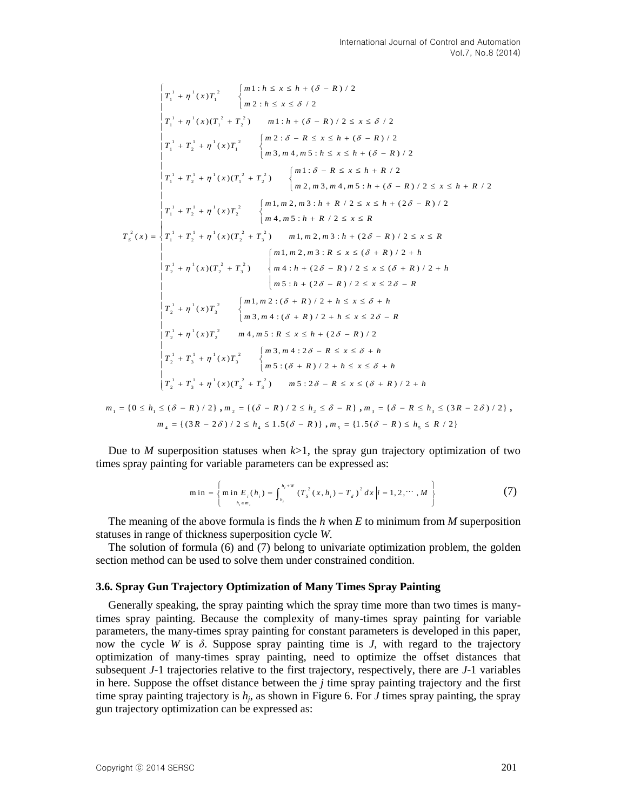$$
\begin{bmatrix}\nT_1^1 + \eta^1(x)T_1^2 & \begin{Bmatrix}\nm1: h \le x \le h + (\delta - R)/2 \\
m2: h \le x \le \delta/2\n\end{Bmatrix} \\
T_1^1 + \eta^1(x) (T_1^2 + T_2^2) & m1: h + (\delta - R)/2 \le x \le \delta/2 \\
T_1^1 + T_2^1 + \eta^1(x) T_1^2 & \begin{Bmatrix}\nm2: \delta - R \le x \le h + (\delta - R)/2 \\
m3, m4, m5: h \le x \le h + (\delta - R)/2\n\end{Bmatrix} \\
T_1^1 + T_2^1 + \eta^1(x) (T_1^2 + T_2^2) & \begin{Bmatrix}\nm1: \delta - R \le x \le h + R/2 \\
m2, m3, m4, m5: h + (\delta - R)/2 \le x \le h + R/2\n\end{Bmatrix} \\
T_1^1 + T_2^1 + \eta^1(x) (T_1^2 + T_2^2) & \begin{Bmatrix}\nm1: \delta - R \le x \le h + R/2 \\
m2, m3, m4, m5: h + (\delta - R)/2 \le x \le h + R/2\n\end{Bmatrix} \\
T_1^1 + T_2^1 + \eta^1(x) T_2^2 & \begin{Bmatrix}\nm1, m2, m3: h + R/2 \le x \le R \\
m4, m5: h + R/2 \le x \le R\n\end{Bmatrix} \\
T_2^1 + \eta^1(x) (T_2^2 + T_3^2) & m1, m2, m3: h + (2\delta - R)/2 \le x \le R \\
T_3^1 + \eta^1(x) (T_2^2 + T_3^2) & \begin{Bmatrix}\nm1, m2, m3: R \le x \le (\delta + R)/2 + h \\
m5: h + (2\delta - R)/2 \le x \le (\delta + R)/2 + h \\
m5: h + (2\delta - R)/2 \le x \le 2\delta - R \\
T_2^1 + \eta^1(x) T_3^2 & \begin{Bmatrix}\nm1, m2: (\delta + R)/2 + h \le x \le \delta + h \\
m3, m4: (\delta + R)/2 + h \le x \le \delta + h \\
m5: h + (2\delta - R)/2 \le x \le h + (2\delta - R)/2\n\end{Bmatrix} \\
T_2^1 + T_3^1 + \eta^1(x) T_2^2 & m4, m5
$$

Due to *M* superposition statuses when  $k>1$ , the spray gun trajectory optimization of two times spray painting for variable parameters can be expressed as:<br> $\min_{\mathbf{m} \in \mathbb{R}^n} \int_{\mathbb{R}^n} \min_{\mathbf{m} \in \mathbb{R}^n} F_{\mathbf{m}}(\mathbf{h}) = \int_{\mathbb{R}^n} \int_{\mathbb{R}^n} \left( \int_{\mathbb{R}^n} f(x, \mathbf{h}) - \int_{-\infty}^{\infty} f(x, \mathbf{h}) \right) dx \, dx$ 

$$
\min = \left\{ \min_{h_i \in m_i} E_i(h_i) = \int_{h_i}^{h_i + W} \left( T_s^2(x, h_i) - T_d \right)^2 dx \middle| i = 1, 2, \cdots, M \right\}
$$
 (7)

The meaning of the above formula is finds the *h* when *E* to minimum from *M* superposition statuses in range of thickness superposition cycle *W*.

The solution of formula  $(6)$  and  $(7)$  belong to univariate optimization problem, the golden section method can be used to solve them under constrained condition.

#### **3.6. Spray Gun Trajectory Optimization of Many Times Spray Painting**

Generally speaking, the spray painting which the spray time more than two times is manytimes spray painting. Because the complexity of many-times spray painting for variable parameters, the many-times spray painting for constant parameters is developed in this paper, now the cycle *W* is  $\delta$ . Suppose spray painting time is *J*, with regard to the trajectory optimization of many-times spray painting, need to optimize the offset distances that subsequent *J-*1 trajectories relative to the first trajectory, respectively, there are *J*-1 variables in here. Suppose the offset distance between the *j* time spray painting trajectory and the first time spray painting trajectory is *h<sup>j</sup>* , as shown in Figure 6. For *J* times spray painting, the spray gun trajectory optimization can be expressed as: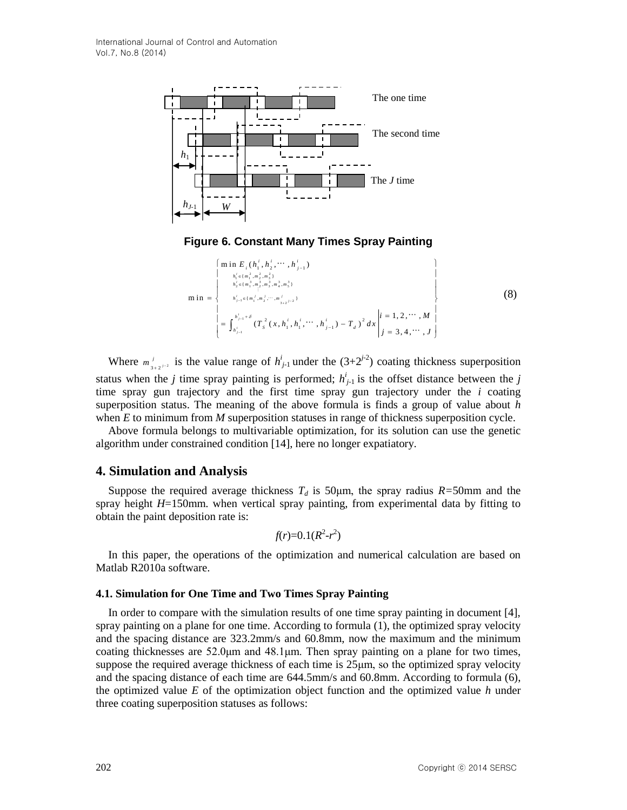

**Figure 6. Constant Many Times Spray Painting**

\n
$$
\begin{bmatrix}\n\min E_i(h_i^i, h_2^i, \cdots, h_{j-1}^i) & \mid \\
h_i^i \in \{m_1^2, m_2^2, m_3^2, \cdots, h_{j-1}^i\} & \\
h_i^i \in \{m_1^2, m_2^2, m_3^2, m_4^2, m_5^3\} & \\
h_{j-1}^i \in \{m_1^j, m_2^j, \cdots, m_{j+2}^j, n_4\}\n\end{bmatrix}
$$
\n
$$
\begin{bmatrix}\n\min = \n\begin{cases}\nh_{j-1}^i \notin \{m_1^j, m_2^j, \cdots, m_{j+2}^j, n_4\} & \text{if } i = 1, 2, \cdots, M \\
\text{if } i = 1, 2, \cdots, M \\
\text{if } i = 3, 4, \cdots, J\n\end{cases}
$$
\n
$$
\begin{bmatrix}\n\text{if } i = 1, 2, \cdots, M \\
\text{if } i = 3, 4, \cdots, J\n\end{bmatrix}
$$
\n(8)

Where  $m_{3+2^{j-2}}^j$  is the value range of  $h_{j-1}^i$  under the  $(3+2^{j-2})$  coating thickness superposition status when the *j* time spray painting is performed;  $h_{j-1}^i$  is the offset distance between the *j* time spray gun trajectory and the first time spray gun trajectory under the *i* coating superposition status. The meaning of the above formula is finds a group of value about *h* when *E* to minimum from *M* superposition statuses in range of thickness superposition cycle.

Above formula belongs to multivariable optimization, for its solution can use the genetic algorithm under constrained condition [14], here no longer expatiatory.

## **4. Simulation and Analysis**

Suppose the required average thickness  $T_d$  is 50 µm, the spray radius  $R=50$ mm and the spray height *H*=150mm. when vertical spray painting, from experimental data by fitting to obtain the paint deposition rate is:

$$
f(r)=0.1(R^2-r^2)
$$

In this paper, the operations of the optimization and numerical calculation are based on Matlab R2010a software.

### **4.1. Simulation for One Time and Two Times Spray Painting**

In order to compare with the simulation results of one time spray painting in document [4], spray painting on a plane for one time. According to formula (1), the optimized spray velocity and the spacing distance are 323.2mm/s and 60.8mm, now the maximum and the minimum coating thicknesses are 52.0μm and 48.1μm. Then spray painting on a plane for two times, suppose the required average thickness of each time is  $25\mu m$ , so the optimized spray velocity and the spacing distance of each time are 644.5mm/s and 60.8mm. According to formula (6), the optimized value *E* of the optimization object function and the optimized value *h* under three coating superposition statuses as follows: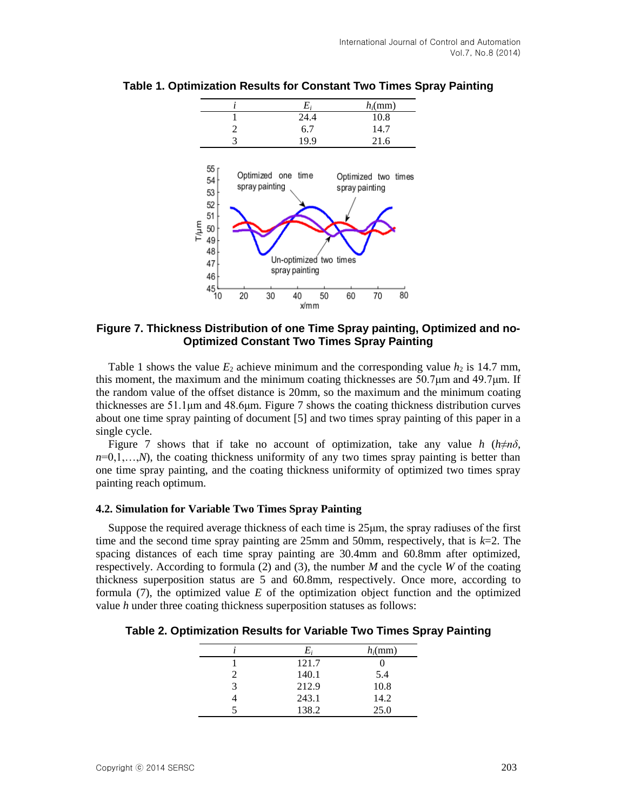

**Table 1. Optimization Results for Constant Two Times Spray Painting**

## **Figure 7. Thickness Distribution of one Time Spray painting, Optimized and no-Optimized Constant Two Times Spray Painting**

Table 1 shows the value  $E_2$  achieve minimum and the corresponding value  $h_2$  is 14.7 mm, this moment, the maximum and the minimum coating thicknesses are  $50.7\mu$ m and  $49.7\mu$ m. If the random value of the offset distance is 20mm, so the maximum and the minimum coating thicknesses are 51.1μm and 48.6μm. Figure 7 shows the coating thickness distribution curves about one time spray painting of document [5] and two times spray painting of this paper in a single cycle.

Figure 7 shows that if take no account of optimization, take any value *h* ( $h \neq n\delta$ ,  $n=0,1,...,N$ , the coating thickness uniformity of any two times spray painting is better than one time spray painting, and the coating thickness uniformity of optimized two times spray painting reach optimum.

### **4.2. Simulation for Variable Two Times Spray Painting**

Suppose the required average thickness of each time is 25μm, the spray radiuses of the first time and the second time spray painting are 25mm and 50mm, respectively, that is  $k=2$ . The spacing distances of each time spray painting are 30.4mm and 60.8mm after optimized, respectively. According to formula (2) and (3), the number *M* and the cycle *W* of the coating thickness superposition status are 5 and 60.8mm, respectively. Once more, according to formula (7), the optimized value *E* of the optimization object function and the optimized value *h* under three coating thickness superposition statuses as follows:

**Table 2. Optimization Results for Variable Two Times Spray Painting**

|   | E,    | $h_i$ (mm) |
|---|-------|------------|
|   | 121.7 |            |
| 2 | 140.1 | 5.4        |
| 3 | 212.9 | 10.8       |
|   | 243.1 | 14.2       |
|   | 138.2 | 25.0       |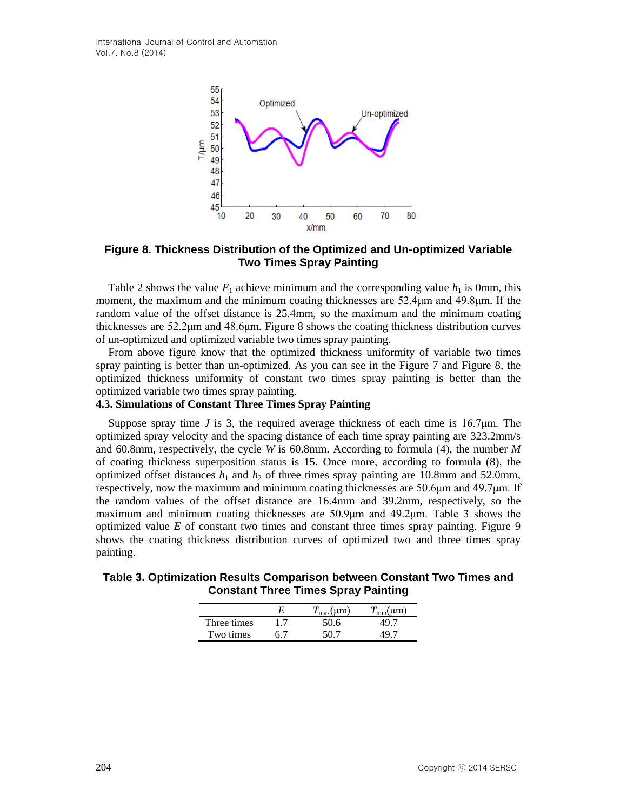International Journal of Control and Automation Vol.7, No.8 (2014)



**Figure 8. Thickness Distribution of the Optimized and Un-optimized Variable Two Times Spray Painting**

Table 2 shows the value  $E_1$  achieve minimum and the corresponding value  $h_1$  is 0mm, this moment, the maximum and the minimum coating thicknesses are 52.4μm and 49.8μm. If the random value of the offset distance is 25.4mm, so the maximum and the minimum coating thicknesses are 52.2μm and 48.6μm. Figure 8 shows the coating thickness distribution curves of un-optimized and optimized variable two times spray painting.

From above figure know that the optimized thickness uniformity of variable two times spray painting is better than un-optimized. As you can see in the Figure 7 and Figure 8, the optimized thickness uniformity of constant two times spray painting is better than the optimized variable two times spray painting.

# **4.3. Simulations of Constant Three Times Spray Painting**

Suppose spray time *J* is 3, the required average thickness of each time is 16.7 $\mu$ m. The optimized spray velocity and the spacing distance of each time spray painting are 323.2mm/s and 60.8mm, respectively, the cycle *W* is 60.8mm. According to formula (4), the number *M* of coating thickness superposition status is 15. Once more, according to formula (8), the optimized offset distances  $h_1$  and  $h_2$  of three times spray painting are 10.8mm and 52.0mm, respectively, now the maximum and minimum coating thicknesses are  $50.6\mu$ m and  $49.7\mu$ m. If the random values of the offset distance are 16.4mm and 39.2mm, respectively, so the maximum and minimum coating thicknesses are 50.9μm and 49.2μm. Table 3 shows the optimized value  $E$  of constant two times and constant three times spray painting. Figure 9 shows the coating thickness distribution curves of optimized two and three times spray painting.

**Table 3. Optimization Results Comparison between Constant Two Times and Constant Three Times Spray Painting**

|             | E   | $T_{\rm max}(\mu m)$ |      |
|-------------|-----|----------------------|------|
| Three times | 1.7 | 50.6                 | 19 7 |
| Two times   | հ 7 | 70 Z                 | 10 7 |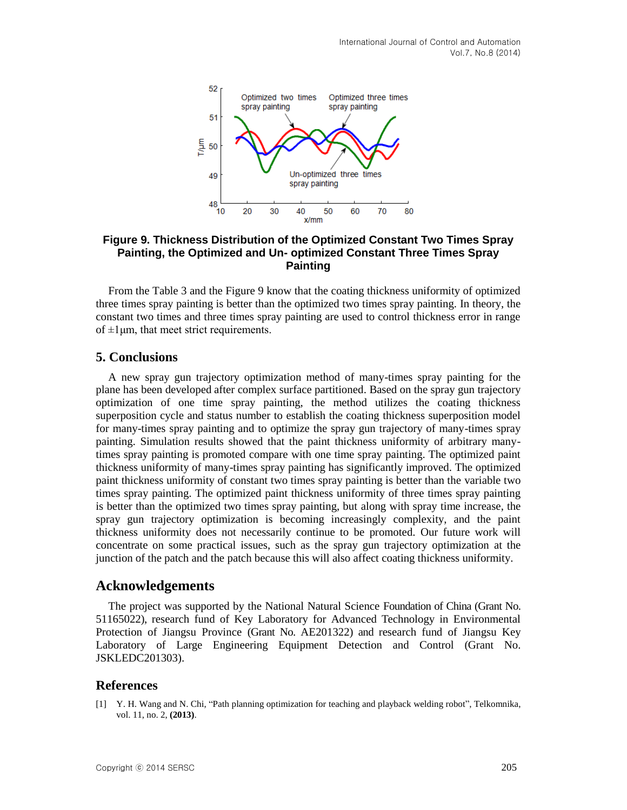

# **Figure 9. Thickness Distribution of the Optimized Constant Two Times Spray Painting, the Optimized and Un- optimized Constant Three Times Spray Painting**

From the Table 3 and the Figure 9 know that the coating thickness uniformity of optimized three times spray painting is better than the optimized two times spray painting. In theory, the constant two times and three times spray painting are used to control thickness error in range of  $\pm 1$ µm, that meet strict requirements.

# **5. Conclusions**

A new spray gun trajectory optimization method of many-times spray painting for the plane has been developed after complex surface partitioned. Based on the spray gun trajectory optimization of one time spray painting, the method utilizes the coating thickness superposition cycle and status number to establish the coating thickness superposition model for many-times spray painting and to optimize the spray gun trajectory of many-times spray painting. Simulation results showed that the paint thickness uniformity of arbitrary manytimes spray painting is promoted compare with one time spray painting. The optimized paint thickness uniformity of many-times spray painting has significantly improved. The optimized paint thickness uniformity of constant two times spray painting is better than the variable two times spray painting. The optimized paint thickness uniformity of three times spray painting is better than the optimized two times spray painting, but along with spray time increase, the spray gun trajectory optimization is becoming increasingly complexity, and the paint thickness uniformity does not necessarily continue to be promoted. Our future work will concentrate on some practical issues, such as the spray gun trajectory optimization at the junction of the patch and the patch because this will also affect coating thickness uniformity.

## **Acknowledgements**

The project was supported by the National Natural Science Foundation of China (Grant No. 51165022), research fund of Key Laboratory for Advanced Technology in Environmental Protection of Jiangsu Province (Grant No. AE201322) and research fund of Jiangsu Key Laboratory of Large Engineering Equipment Detection and Control (Grant No. JSKLEDC201303).

## **References**

[1] Y. H. Wang and N. Chi, "Path planning optimization for teaching and playback welding robot", Telkomnika, vol. 11, no. 2, **(2013)**.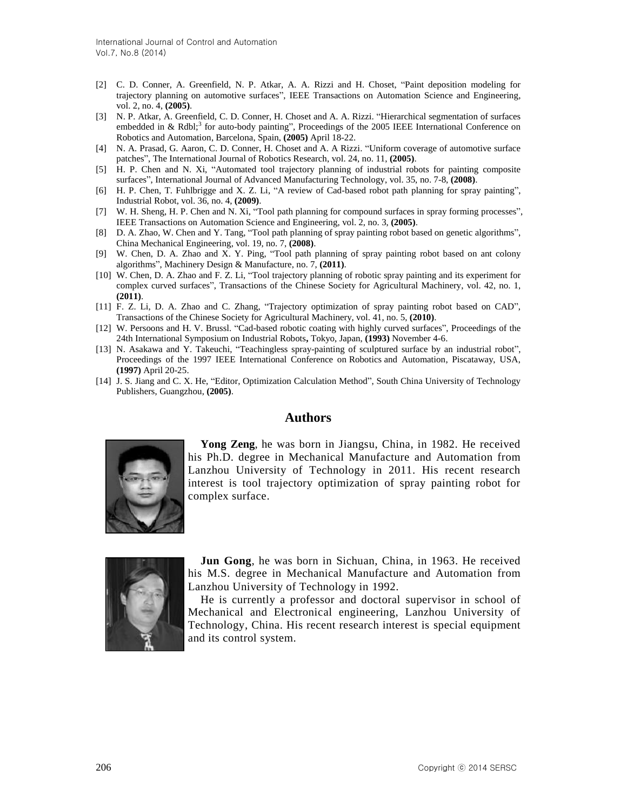- [2] C. D. Conner, A. Greenfield, N. P. Atkar, A. A. Rizzi and H. Choset, "Paint deposition modeling for trajectory planning on automotive surfaces", IEEE Transactions on Automation Science and Engineering, vol. 2, no. 4, **(2005)**.
- [3] N. P. Atkar, A. Greenfield, C. D. Conner, H. Choset and A. A. Rizzi. "Hierarchical segmentation of surfaces embedded in & Rdbl;<sup>3</sup> for auto-body painting", Proceedings of the 2005 IEEE International Conference on Robotics and Automation, Barcelona, Spain, **(2005)** April 18-22.
- [4] N. A. Prasad, G. Aaron, C. D. Conner, H. Choset and A. A Rizzi. "Uniform coverage of automotive surface patches", The International Journal of Robotics Research, vol. 24, no. 11, **(2005)**.
- [5] H. P. Chen and N. Xi, "Automated tool trajectory planning of industrial robots for painting composite surfaces", International Journal of Advanced Manufacturing Technology, vol. 35, no. 7-8, **(2008)**.
- [6] H. P. Chen, T. Fuhlbrigge and X. Z. Li, "A review of Cad-based robot path planning for spray painting", Industrial Robot, vol. 36, no. 4, **(2009)**.
- [7] W. H. Sheng, H. P. Chen and N. Xi, "Tool path planning for compound surfaces in spray forming processes", IEEE Transactions on Automation Science and Engineering, vol. 2, no. 3, **(2005)**.
- [8] D. A. Zhao, W. Chen and Y. Tang, "Tool path planning of spray painting robot based on genetic algorithms", China Mechanical Engineering, vol. 19, no. 7, **(2008)**.
- [9] W. Chen, D. A. Zhao and X. Y. Ping, "Tool path planning of spray painting robot based on ant colony algorithms", Machinery Design & Manufacture, no. 7, **(2011)**.
- [10] W. Chen, D. A. Zhao and F. Z. Li, "Tool trajectory planning of robotic spray painting and its experiment for complex curved surfaces", Transactions of the Chinese Society for Agricultural Machinery, vol. 42, no. 1, **(2011)**.
- [11] F. Z. Li, D. A. Zhao and C. Zhang, "Trajectory optimization of spray painting robot based on CAD", Transactions of the Chinese Society for Agricultural Machinery, vol. 41, no. 5, **(2010)**.
- [12] W. Persoons and H. V. Brussl. "Cad-based robotic coating with highly curved surfaces", Proceedings of the 24th International Symposium on Industrial Robots**,** Tokyo, Japan, **(1993)** November 4-6.
- [13] N. Asakawa and Y. Takeuchi, "Teachingless spray-painting of sculptured surface by an industrial robot", Proceedings of the 1997 IEEE International Conference on Robotics and Automation, Piscataway, USA, **(1997)** April 20-25.
- [14] J. S. Jiang and C. X. He, "Editor, Optimization Calculation Method", South China University of Technology Publishers, Guangzhou, **(2005)**.

# **Authors**



**Yong Zeng**, he was born in Jiangsu, China, in 1982. He received his Ph.D. degree in [Mechanical](app:ds:Mechanical) [Manufacture](app:ds:Manufacture) [and](app:ds:and) [Automation](app:ds:Automation) from Lanzhou University of Technology in 2011. His recent research interest is tool trajectory optimization of spray painting robot for complex surface.



**Jun Gong**, he was born in Sichuan, China, in 1963. He received his M.S. degree in [Mechanical](app:ds:Mechanical) [Manufacture](app:ds:Manufacture) [and](app:ds:and) [Automation](app:ds:Automation) from Lanzhou University of Technology in 1992.

He is currently a professor and doctoral supervisor in school of Mechanical and Electronical engineering, Lanzhou University of Technology, China. His recent research interest is special equipment and its control system.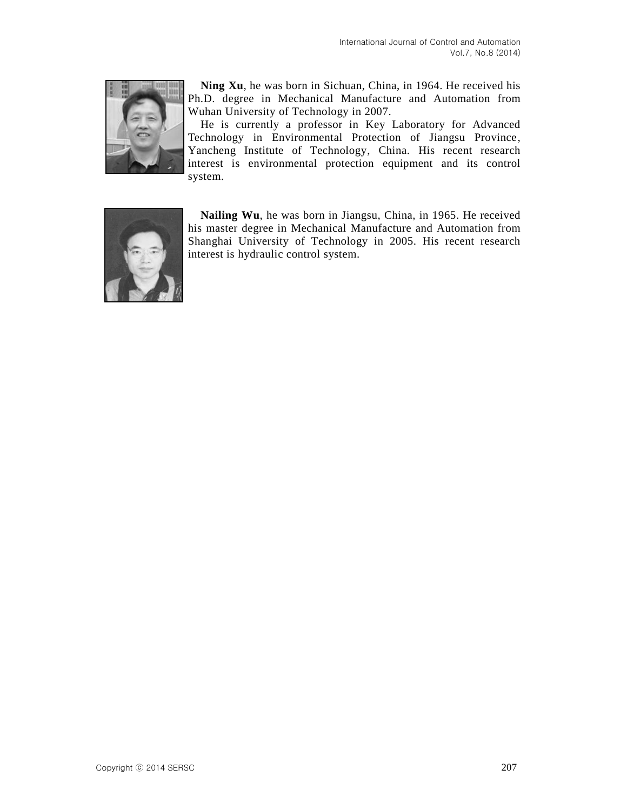

**Ning Xu**, he was born in Sichuan, China, in 1964. He received his Ph.D. degree in [Mechanical](app:ds:Mechanical) [Manufacture](app:ds:Manufacture) [and](app:ds:and) [Automation](app:ds:Automation) from [Wuhan](app:ds:Wuhan) [University](app:ds:University) [of](app:ds:of) [Technology](app:ds:Technology) in 2007.

He is currently a professor in Key Laboratory for Advanced Technology in Environmental Protection of Jiangsu Province, Yancheng Institute of Technology, China. His recent research interest is environmental protection equipment and its control system.



**Nailing Wu**, he was born in Jiangsu, China, in 1965. He received his master degree in [Mechanical](app:ds:Mechanical) [Manufacture](app:ds:Manufacture) [and](app:ds:and) [Automation](app:ds:Automation) from Shanghai University of Technology in 2005. His recent research interest is [hydraulic](app:ds:hydraulic) [control](app:ds:control) [system.](app:ds:system)